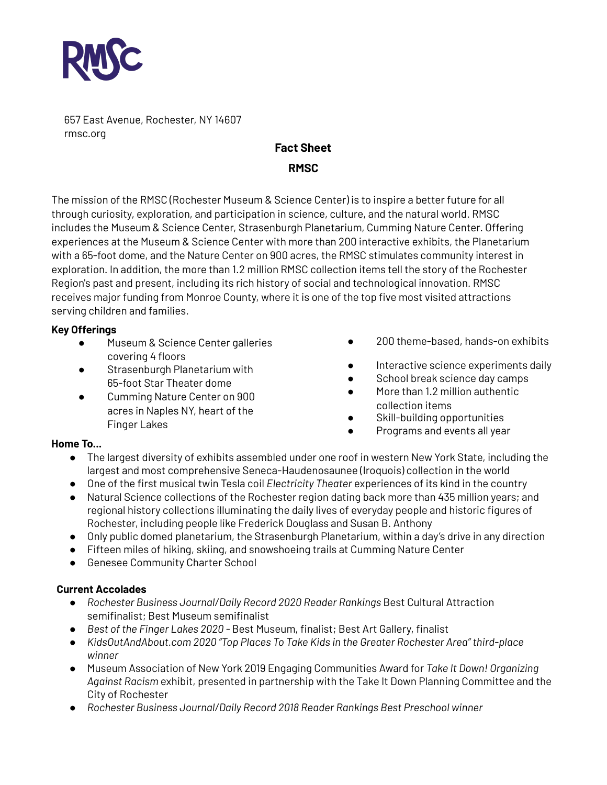

657 East Avenue, Rochester, NY 14607 rmsc.org

# **Fact Sheet RMSC**

The mission of the RMSC (Rochester Museum & Science Center) is to inspire a better future for all through curiosity, exploration, and participation in science, culture, and the natural world. RMSC includes the Museum & Science Center, Strasenburgh Planetarium, Cumming Nature Center. Offering experiences at the Museum & Science Center with more than 200 interactive exhibits, the Planetarium with a 65-foot dome, and the Nature Center on 900 acres, the RMSC stimulates community interest in exploration. In addition, the more than 1.2 million RMSC collection items tell the story of the Rochester Region's past and present, including its rich history of social and technological innovation. RMSC receives major funding from Monroe County, where it is one of the top five most visited attractions serving children and families.

## **Key Offerings**

- Museum & Science Center galleries covering 4 floors
- Strasenburgh Planetarium with 65-foot Star Theater dome
- Cumming Nature Center on 900 acres in Naples NY, heart of the Finger Lakes
- 200 theme-based, hands-on exhibits
- Interactive science experiments daily
- School break science day camps
- More than 1.2 million authentic collection items
- Skill-building opportunities
- Programs and events all year

#### **Home To...**

- The largest diversity of exhibits assembled under one roof in western New York State, including the largest and most comprehensive Seneca-Haudenosaunee (Iroquois) collection in the world
- One of the first musical twin Tesla coil *Electricity Theater* experiences of its kind in the country
- Natural Science collections of the Rochester region dating back more than 435 million years; and regional history collections illuminating the daily lives of everyday people and historic figures of Rochester, including people like Frederick Douglass and Susan B. Anthony
- Only public domed planetarium, the Strasenburgh Planetarium, within a day's drive in any direction
- Fifteen miles of hiking, skiing, and snowshoeing trails at Cumming Nature Center
- Genesee Community Charter School

#### **Current Accolades**

- *● Rochester Business Journal/Daily Record 2020 Reader Rankings* Best Cultural Attraction semifinalist; Best Museum semifinalist
- *● Best of the Finger Lakes 2020 -* Best Museum, finalist; Best Art Gallery, finalist
- *● KidsOutAndAbout.com 2020 "Top Places To Take Kids in the Greater Rochester Area" third-place winner*
- Museum Association of New York 2019 Engaging Communities Award for *Take It Down! Organizing Against Racism* exhibit, presented in partnership with the Take It Down Planning Committee and the City of Rochester
- *● Rochester Business Journal/Daily Record 2018 Reader Rankings Best Preschool winner*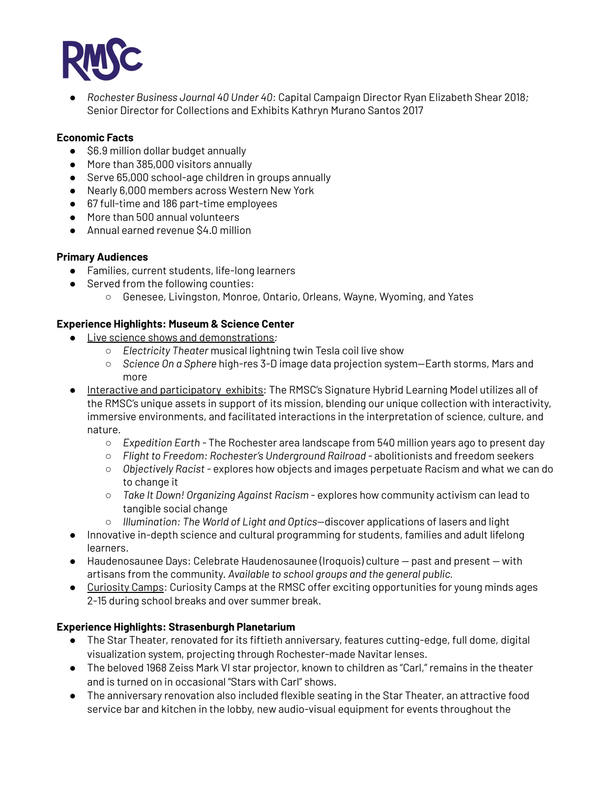

*● Rochester Business Journal 40 Under 40*: Capital Campaign Director Ryan Elizabeth Shear 2018*;* Senior Director for Collections and Exhibits Kathryn Murano Santos 2017

## **Economic Facts**

- \$6.9 million dollar budget annually
- More than 385,000 visitors annually
- Serve 65,000 school-age children in groups annually
- Nearly 6,000 members across Western New York
- 67 full-time and 186 part-time employees
- More than 500 annual volunteers
- Annual earned revenue \$4.0 million

## **Primary Audiences**

- Families, current students, life-long learners
- Served from the following counties:
	- Genesee, Livingston, Monroe, Ontario, Orleans, Wayne, Wyoming, and Yates

## **Experience Highlights: Museum & Science Center**

- Live science shows and [demonstrations](https://rmsc.org/science-museum/programs-and-events/item/114-science-alive)*:*
	- *Electricity Theater* musical lightning twin Tesla coil live show
	- *Science On a Sphere* high-res 3-D image data projection system—Earth storms, Mars and more
- Interactive and [participatory](https://rmsc.org/science-museum/exhibits) exhibits: The RMSC's Signature Hybrid Learning Model utilizes all of the RMSC's unique assets in support of its mission, blending our unique collection with interactivity, immersive environments, and facilitated interactions in the interpretation of science, culture, and nature.
	- *Expedition Earth -* The Rochester area landscape from 540 million years ago to present day
	- *Flight to Freedom: Rochester's Underground Railroad -* abolitionists and freedom seekers
	- *Objectively Racist -* explores how objects and images perpetuate Racism and what we can do to change it
	- *Take It Down! Organizing Against Racism* explores how community activism can lead to tangible social change
	- *Illumination: The World of Light and Optics*—discover applications of lasers and light
- Innovative in-depth science and cultural programming for students, families and adult lifelong learners.
- Haudenosaunee Days: Celebrate Haudenosaunee (Iroquois) culture past and present with artisans from the community. *Available to school groups and the general public.*
- [Curiosity](https://rmsc.org/science-museum/camps) Camps: Curiosity Camps at the RMSC offer exciting opportunities for young minds ages 2-15 during school breaks and over summer break.

## **Experience Highlights: Strasenburgh Planetarium**

- The Star Theater, renovated for its fiftieth anniversary, features cutting-edge, full dome, digital visualization system, projecting through Rochester-made Navitar lenses.
- The beloved 1968 Zeiss Mark VI star projector, known to children as "Carl," remains in the theater and is turned on in occasional "Stars with Carl" shows.
- The anniversary renovation also included flexible seating in the Star Theater, an attractive food service bar and kitchen in the lobby, new audio-visual equipment for events throughout the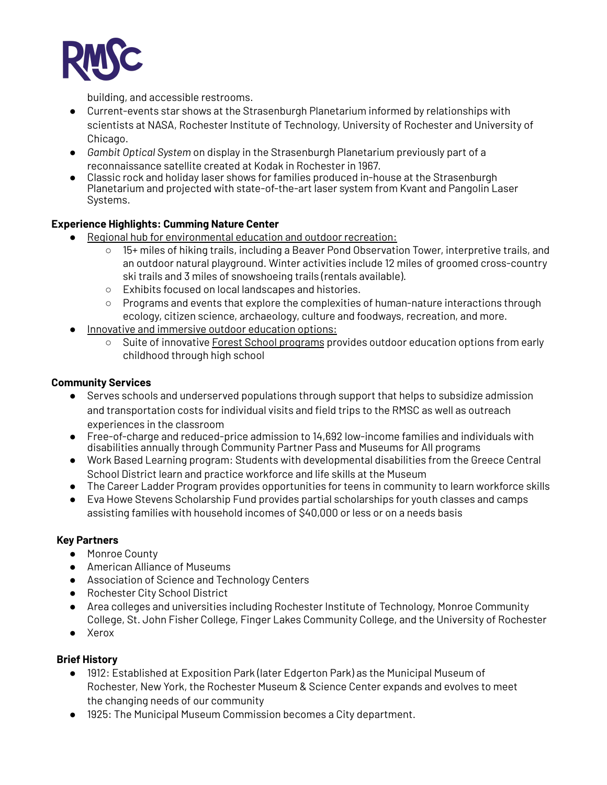

building, and accessible restrooms.

- Current-events star shows at the Strasenburgh Planetarium informed by relationships with scientists at NASA, Rochester Institute of Technology, University of Rochester and University of Chicago.
- *Gambit Optical System* on display in the Strasenburgh Planetarium previously part of a reconnaissance satellite created at Kodak in Rochester in 1967.
- Classic rock and holiday laser shows for families produced in-house at the Strasenburgh Planetarium and projected with state-of-the-art laser system from Kvant and Pangolin Laser Systems.

## **Experience Highlights: Cumming Nature Center**

- Regional hub for environmental education and outdoor recreation:
	- 15+ miles of hiking trails, including a Beaver Pond Observation Tower, interpretive trails, and an outdoor natural playground. Winter activities include 12 miles of groomed cross-country ski trails and 3 miles of snowshoeing trails (rentals available).
	- Exhibits focused on local landscapes and histories.
	- Programs and events that explore the complexities of human-nature interactions through ecology, citizen science, archaeology, culture and foodways, recreation, and more.
- Innovative and immersive outdoor education options:
	- Suite of innovative Forest School [programs](https://rmsc.org/cumming-nature-center/forest-school) provides outdoor education options from early childhood through high school

## **Community Services**

- Serves schools and underserved populations through support that helps to subsidize admission and transportation costs for individual visits and field trips to the RMSC as well as outreach experiences in the classroom
- Free-of-charge and reduced-price admission to 14,692 low-income families and individuals with disabilities annually through Community Partner Pass and Museums for All programs
- Work Based Learning program: Students with developmental disabilities from the Greece Central School District learn and practice workforce and life skills at the Museum
- The Career Ladder Program provides opportunities for teens in community to learn workforce skills
- Eva Howe Stevens Scholarship Fund provides partial scholarships for youth classes and camps assisting families with household incomes of \$40,000 or less or on a needs basis

#### **Key Partners**

- Monroe County
- American Alliance of Museums
- Association of Science and Technology Centers
- Rochester City School District
- Area colleges and universities including Rochester Institute of Technology, Monroe Community College, St. John Fisher College, Finger Lakes Community College, and the University of Rochester
- Xerox

## **Brief History**

- 1912: Established at Exposition Park (later Edgerton Park) as the Municipal Museum of Rochester, New York, the Rochester Museum & Science Center expands and evolves to meet the changing needs of our community
- 1925: The Municipal Museum Commission becomes a City department.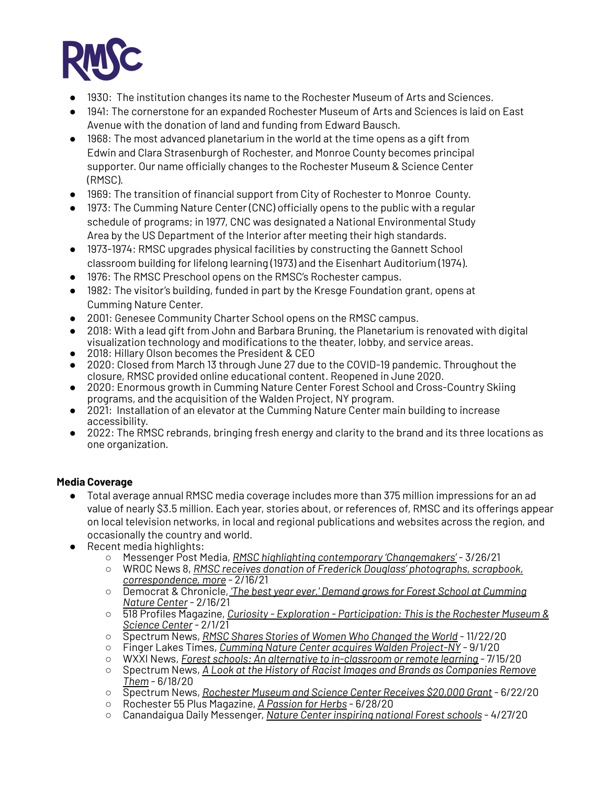

- 1930: The institution changes its name to the Rochester Museum of Arts and Sciences.
- 1941: The cornerstone for an expanded Rochester Museum of Arts and Sciences is laid on East Avenue with the donation of land and funding from Edward Bausch.
- 1968: The most advanced planetarium in the world at the time opens as a gift from Edwin and Clara Strasenburgh of Rochester, and Monroe County becomes principal supporter. Our name officially changes to the Rochester Museum & Science Center (RMSC).
- 1969: The transition of financial support from City of Rochester to Monroe County.
- 1973: The Cumming Nature Center (CNC) officially opens to the public with a regular schedule of programs; in 1977, CNC was designated a National Environmental Study Area by the US Department of the Interior after meeting their high standards.
- 1973-1974: RMSC upgrades physical facilities by constructing the Gannett School classroom building for lifelong learning (1973) and the Eisenhart Auditorium (1974).
- 1976: The RMSC Preschool opens on the RMSC's Rochester campus.
- 1982: The visitor's building, funded in part by the Kresge Foundation grant, opens at Cumming Nature Center.
- 2001: Genesee Community Charter School opens on the RMSC campus.
- 2018: With a lead gift from John and Barbara Bruning, the Planetarium is renovated with digital visualization technology and modifications to the theater, lobby, and service areas.
- 2018: Hillary Olson becomes the President & CEO
- 2020: Closed from March 13 through June 27 due to the COVID-19 pandemic. Throughout the closure, RMSC provided online educational content. Reopened in June 2020.
- 2020: Enormous growth in Cumming Nature Center Forest School and Cross-Country Skiing programs, and the acquisition of the Walden Project, NY program.
- 2021: Installation of an elevator at the Cumming Nature Center main building to increase accessibility.
- 2022: The RMSC rebrands, bringing fresh energy and clarity to the brand and its three locations as one organization.

## **Media Coverage**

- Total average annual RMSC media coverage includes more than 375 million impressions for an ad value of nearly \$3.5 million. Each year, stories about, or references of, RMSC and its offerings appear on local television networks, in local and regional publications and websites across the region, and occasionally the country and world.
- Recent media highlights:
	- Messenger Post Media, *RMSC highlighting contemporary ['Changemakers'](https://www.monroecopost.com/story/entertainment/local/2021/03/26/rmsc-highlighting-contemporary-changemakers/7019290002/)* 3/26/21
	- WROC News 8, *RMSC receives donation of Frederick Douglass' [photographs,](https://www.rochesterfirst.com/community/rmcs-receives-donation-of-frederick-douglass-photographs-scrapbook-correspondence-and-more/) scrapbook, [correspondence,](https://www.rochesterfirst.com/community/rmcs-receives-donation-of-frederick-douglass-photographs-scrapbook-correspondence-and-more/) more* - 2/16/21
	- Democrat & Chronicle, *'The best year ever.' Demand grows for Forest School at [Cumming](https://www.democratandchronicle.com/story/news/2021/02/16/forest-school-cumming-nature-center-south-bristol-ny-demand-grows-during-pandemic/6720353002/) [Nature](https://www.democratandchronicle.com/story/news/2021/02/16/forest-school-cumming-nature-center-south-bristol-ny-demand-grows-during-pandemic/6720353002/) Center* - 2/16/21
	- 518 Profiles Magazine, *Curiosity - Exploration - [Participation:](https://issuu.com/ininkny/docs/2021_february_518_profiles_magazine/22) This is the Rochester Museum & [Science](https://issuu.com/ininkny/docs/2021_february_518_profiles_magazine/22) Center*- 2/1/21
	- Spectrum News, *RMSC Shares Stories of Women Who [Changed](https://spectrumlocalnews.com/nys/rochester/news/2020/11/23/rmsc-shares-stories-of-women-who-changed-the-world#) the World* 11/22/20
	- Finger Lakes Times, *Cumming Nature Center acquires Walden [Project-NY](https://www.fltimes.com/news/education/cumming-nature-center-acquires-walden-project-ny/article_d43537aa-f87c-5ec8-979e-5598b6cfe092.html)* 9/1/20
	- WXXI News, *Forest schools: An alternative to [in-classroom](https://www.wxxinews.org/post/forest-schools-alternative-classroom-or-remote-learning) or remote learning* 7/15/20
	- Spectrum News, *A Look at the History of Racist Images and Brands as [Companies](https://spectrumlocalnews.com/nys/rochester/human-interest/2020/06/19/history-of-racist-images-and-brands-as-companies-remove-them) Remove [Them](https://spectrumlocalnews.com/nys/rochester/human-interest/2020/06/19/history-of-racist-images-and-brands-as-companies-remove-them)* - 6/18/20
	- Spectrum News, *[Rochester](https://spectrumlocalnews.com/nys/rochester/news/2020/06/22/rochester-museum-and-science-center-receives--20-000-grant) Museum and Science Center Receives \$20,000 Grant* 6/22/20
	- Rochester 55 Plus Magazine, *A [Passion](http://www.roc55.com/features/a-passion-for-herbs/) for Herbs* 6/28/20
	- Canandaigua Daily Messenger, *Nature Center [inspiring](https://www.mpnnow.com/news/20200427/nature-center-inspiring-national-forest-schools) national Forest schools* 4/27/20